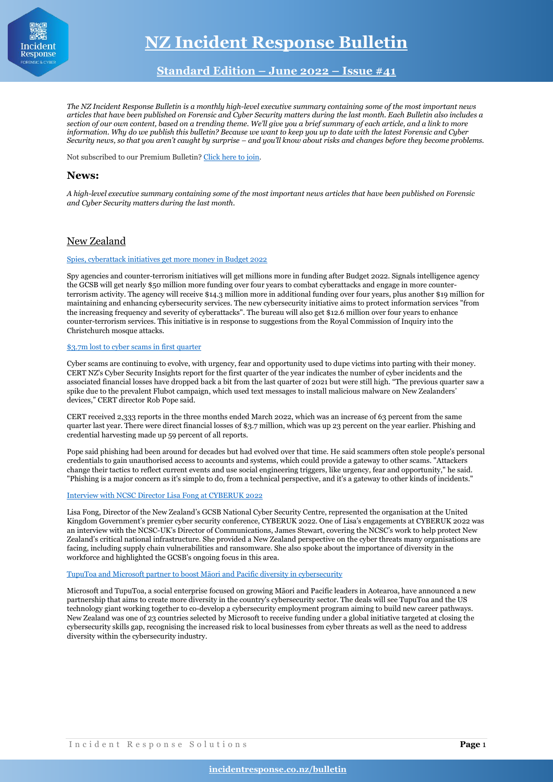

# **Standard Edition – June 2022 – Issue #41**

*The NZ Incident Response Bulletin is a monthly high-level executive summary containing some of the most important news articles that have been published on Forensic and Cyber Security matters during the last month. Each Bulletin also includes a section of our own content, based on a trending theme. We'll give you a brief summary of each article, and a link to more information. Why do we publish this bulletin? Because we want to keep you up to date with the latest Forensic and Cyber Security news, so that you aren't caught by surprise – and you'll know about risks and changes before they become problems.*

Not subscribed to our Premium Bulletin[? Click here to join.](https://incidentresponse.co.nz/incident-response-retainer/)

# **News:**

*A high-level executive summary containing some of the most important news articles that have been published on Forensic and Cyber Security matters during the last month.*

# New Zealand

## [Spies, cyberattack initiatives get more money in Budget 2022](https://www.newstalkzb.co.nz/lifestyle/technology/budget-2022-spies-cops-get-boost-for-counter-terrorism-cybercrime-battle/)

Spy agencies and counter-terrorism initiatives will get millions more in funding after Budget 2022. Signals intelligence agency the GCSB will get nearly \$50 million more funding over four years to combat cyberattacks and engage in more counterterrorism activity. The agency will receive \$14.3 million more in additional funding over four years, plus another \$19 million for maintaining and enhancing cybersecurity services. The new cybersecurity initiative aims to protect information services "from the increasing frequency and severity of cyberattacks". The bureau will also get \$12.6 million over four years to enhance counter-terrorism services. This initiative is in response to suggestions from the Royal Commission of Inquiry into the Christchurch mosque attacks.

### [\\$3.7m lost to cyber scams in first quarter](https://www.rnz.co.nz/news/business/467817/3-point-7m-lost-to-cyber-scams-in-first-quarter)

Cyber scams are continuing to evolve, with urgency, fear and opportunity used to dupe victims into parting with their money. CERT NZ's Cyber Security Insights report for the first quarter of the year indicates the number of cyber incidents and the associated financial losses have dropped back a bit from the last quarter of 2021 but were still high. "The previous quarter saw a spike due to the prevalent Flubot campaign, which used text messages to install malicious malware on New Zealanders' devices," CERT director Rob Pope said.

CERT received 2,333 reports in the three months ended March 2022, which was an increase of 63 percent from the same quarter last year. There were direct financial losses of \$3.7 million, which was up 23 percent on the year earlier. Phishing and credential harvesting made up 59 percent of all reports.

Pope said phishing had been around for decades but had evolved over that time. He said scammers often stole people's personal credentials to gain unauthorised access to accounts and systems, which could provide a gateway to other scams. "Attackers change their tactics to reflect current events and use social engineering triggers, like urgency, fear and opportunity," he said. "Phishing is a major concern as it's simple to do, from a technical perspective, and it's a gateway to other kinds of incidents."

## [Interview with NCSC Director Lisa Fong at CYBERUK 2022](https://www.ncsc.govt.nz/newsroom/cyberuk2022/)

Lisa Fong, Director of the New Zealand's GCSB National Cyber Security Centre, represented the organisation at the United Kingdom Government's premier cyber security conference, CYBERUK 2022. One of Lisa's engagements at CYBERUK 2022 was an interview with the NCSC-UK's Director of Communications, James Stewart, covering the NCSC's work to help protect New Zealand's critical national infrastructure. She provided a New Zealand perspective on the cyber threats many organisations are facing, including supply chain vulnerabilities and ransomware. She also spoke about the importance of diversity in the workforce and highlighted the GCSB's ongoing focus in this area.

### [TupuToa and Microsoft partner to boost Māori and Pacific diversity in cybersecurity](https://www.newshub.co.nz/home/technology/2022/05/tuputoa-and-microsoft-partner-to-boost-m-ori-and-pacific-diversity-in-cybersecurity.html)

Microsoft and TupuToa, a social enterprise focused on growing Māori and Pacific leaders in Aotearoa, have announced a new partnership that aims to create more diversity in the country's cybersecurity sector. The deals will see TupuToa and the US technology giant working together to co-develop a cybersecurity employment program aiming to build new career pathways. New Zealand was one of 23 countries selected by Microsoft to receive funding under a global initiative targeted at closing the cybersecurity skills gap, recognising the increased risk to local businesses from cyber threats as well as the need to address diversity within the cybersecurity industry.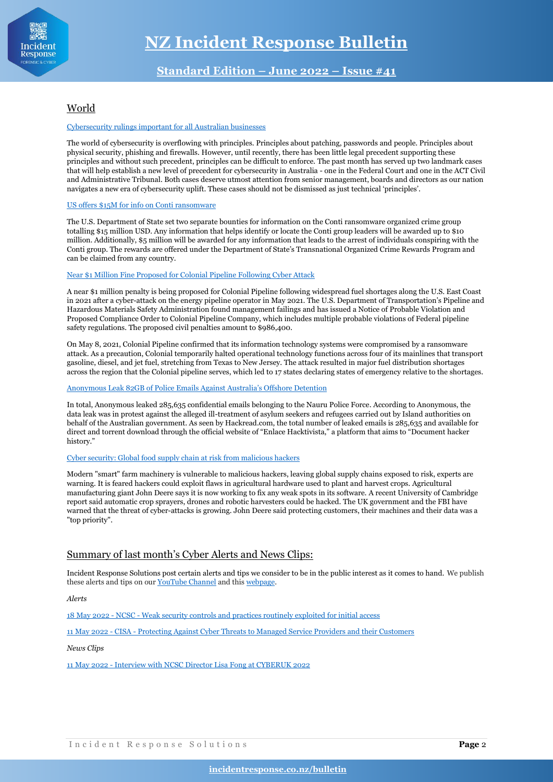

# World

## [Cybersecurity rulings important for all Australian businesses](https://www.aspistrategist.org.au/cybersecurity-rulings-important-for-all-australian-businesses/)

The world of cybersecurity is overflowing with principles. Principles about patching, passwords and people. Principles about physical security, phishing and firewalls. However, until recently, there has been little legal precedent supporting these principles and without such precedent, principles can be difficult to enforce. The past month has served up two landmark cases that will help establish a new level of precedent for cybersecurity in Australia - one in the Federal Court and one in the ACT Civil and Administrative Tribunal. Both cases deserve utmost attention from senior management, boards and directors as our nation navigates a new era of cybersecurity uplift. These cases should not be dismissed as just technical 'principles'.

## [US offers \\$15M for info on Conti ransomware](https://cryptoslate.com/us-offers-15m-for-info-on-conti-ransomware/)

The U.S. Department of State set two separate bounties for information on the Conti ransomware organized crime group totalling \$15 million USD. Any information that helps identify or locate the Conti group leaders will be awarded up to \$10 million. Additionally, \$5 million will be awarded for any information that leads to the arrest of individuals conspiring with the Conti group. The rewards are offered under the Department of State's Transnational Organized Crime Rewards Program and can be claimed from any country.

## [Near \\$1 Million Fine Proposed for Colonial Pipeline Following Cyber Attack](https://www.hstoday.us/subject-matter-areas/cybersecurity/near-1-million-fine-proposed-for-colonial-pipeline-following-cyber-attack/?web_view=true)

A near \$1 million penalty is being proposed for Colonial Pipeline following widespread fuel shortages along the U.S. East Coast in 2021 after a cyber-attack on the energy pipeline operator in May 2021. The U.S. Department of Transportation's Pipeline and Hazardous Materials Safety Administration found management failings and has issued a Notice of Probable Violation and Proposed Compliance Order to Colonial Pipeline Company, which includes multiple probable violations of Federal pipeline safety regulations. The proposed civil penalties amount to \$986,400.

On May 8, 2021, Colonial Pipeline confirmed that its information technology systems were compromised by a ransomware attack. As a precaution, Colonial temporarily halted operational technology functions across four of its mainlines that transport gasoline, diesel, and jet fuel, stretching from Texas to New Jersey. The attack resulted in major fuel distribution shortages across the region that the Colonial pipeline serves, which led to 17 states declaring states of emergency relative to the shortages.

## [Anonymous Leak 82GB of Police Emails Against Australia's Offshore Detention](https://www.hackread.com/anonymous-leak-police-emails-australia-offshore-detention/?web_view=true)

In total, Anonymous leaked 285,635 confidential emails belonging to the Nauru Police Force. According to Anonymous, the data leak was in protest against the alleged ill-treatment of asylum seekers and refugees carried out by Island authorities on behalf of the Australian government. As seen by Hackread.com, the total number of leaked emails is 285,635 and available for direct and torrent download through the official website of "Enlace Hacktivista," a platform that aims to "Document hacker history."

### [Cyber security: Global food supply chain at risk from malicious hackers](https://www.bbc.com/news/science-environment-61336659)

Modern "smart" farm machinery is vulnerable to malicious hackers, leaving global supply chains exposed to risk, experts are warning. It is feared hackers could exploit flaws in agricultural hardware used to plant and harvest crops. Agricultural manufacturing giant John Deere says it is now working to fix any weak spots in its software. A recent University of Cambridge report said automatic crop sprayers, drones and robotic harvesters could be hacked. The UK government and the FBI have warned that the threat of cyber-attacks is growing. John Deere said protecting customers, their machines and their data was a "top priority".

# Summary of last month's Cyber Alerts and News Clips:

Incident Response Solutions post certain alerts and tips we consider to be in the public interest as it comes to hand. We publish these alerts and tips on our [YouTube Channel](https://www.youtube.com/channel/UC7Dyflee0c7FELHsK56ZMyQ) and this [webpage.](https://incidentresponse.co.nz/alerts-and-tips/)

*Alerts*

18 May 2022 - NCSC - [Weak security controls and practices routinely exploited for initial access](https://www.ncsc.govt.nz/newsroom/jsa-weak-security-controls/)

11 May 2022 - CISA - [Protecting Against Cyber Threats to Managed Service Providers and their Customers](https://www.cisa.gov/uscert/ncas/alerts/aa22-131a)

*News Clips*

11 May 2022 - [Interview with NCSC Director Lisa Fong at CYBERUK 2022](https://www.youtube.com/watch?v=_Fm7Pozk0Ms)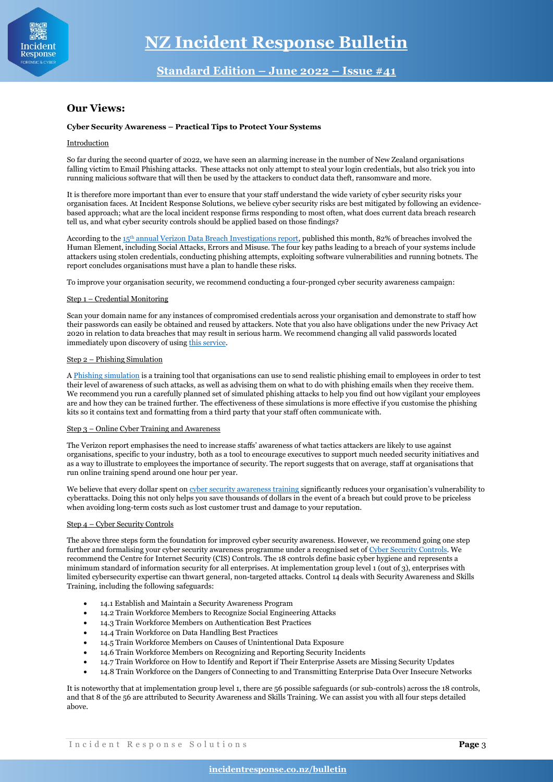

# **Our Views:**

### **Cyber Security Awareness – Practical Tips to Protect Your Systems**

### Introduction

So far during the second quarter of 2022, we have seen an alarming increase in the number of New Zealand organisations falling victim to Email Phishing attacks. These attacks not only attempt to steal your login credentials, but also trick you into running malicious software that will then be used by the attackers to conduct data theft, ransomware and more.

It is therefore more important than ever to ensure that your staff understand the wide variety of cyber security risks your organisation faces. At Incident Response Solutions, we believe cyber security risks are best mitigated by following an evidencebased approach; what are the local incident response firms responding to most often, what does current data breach research tell us, and what cyber security controls should be applied based on those findings?

According to the 15th [annual Verizon Data Breach Investigations report,](https://www.verizon.com/business/resources/reports/dbir/) published this month, 82% of breaches involved the Human Element, including Social Attacks, Errors and Misuse. The four key paths leading to a breach of your systems include attackers using stolen credentials, conducting phishing attempts, exploiting software vulnerabilities and running botnets. The report concludes organisations must have a plan to handle these risks.

To improve your organisation security, we recommend conducting a four-pronged cyber security awareness campaign:

#### Step 1 – Credential Monitoring

Scan your domain name for any instances of compromised credentials across your organisation and demonstrate to staff how their passwords can easily be obtained and reused by attackers. Note that you also have obligations under the new Privacy Act 2020 in relation to data breaches that may result in serious harm. We recommend changing all valid passwords located immediately upon discovery of usin[g this service.](https://incidentresponse.co.nz/dark-web-monitoring/)

## Step 2 – Phishing Simulation

[A Phishing simulation](https://incidentresponse.co.nz/phishing-simulation/) is a training tool that organisations can use to send realistic phishing email to employees in order to test their level of awareness of such attacks, as well as advising them on what to do with phishing emails when they receive them. We recommend you run a carefully planned set of simulated phishing attacks to help you find out how vigilant your employees are and how they can be trained further. The effectiveness of these simulations is more effective if you customise the phishing kits so it contains text and formatting from a third party that your staff often communicate with.

#### Step 3 – Online Cyber Training and Awareness

The Verizon report emphasises the need to increase staffs' awareness of what tactics attackers are likely to use against organisations, specific to your industry, both as a tool to encourage executives to support much needed security initiatives and as a way to illustrate to employees the importance of security. The report suggests that on average, staff at organisations that run online training spend around one hour per year.

We believe that every dollar spent o[n cyber security awareness training](https://incidentresponse.co.nz/cyber-training-and-awareness/) significantly reduces your organisation's vulnerability to cyberattacks. Doing this not only helps you save thousands of dollars in the event of a breach but could prove to be priceless when avoiding long-term costs such as lost customer trust and damage to your reputation.

### Step 4 – Cyber Security Controls

The above three steps form the foundation for improved cyber security awareness. However, we recommend going one step further and formalising your cyber security awareness programme under a recognised set o[f Cyber Security Controls.](https://incidentresponse.co.nz/cis-controls/) We recommend the Centre for Internet Security (CIS) Controls. The 18 controls define basic cyber hygiene and represents a minimum standard of information security for all enterprises. At implementation group level 1 (out of 3), enterprises with limited cybersecurity expertise can thwart general, non-targeted attacks. Control 14 deals with Security Awareness and Skills Training, including the following safeguards:

- 14.1 Establish and Maintain a Security Awareness Program
- 14.2 Train Workforce Members to Recognize Social Engineering Attacks
- 14.3 Train Workforce Members on Authentication Best Practices
- 14.4 Train Workforce on Data Handling Best Practices
- 14.5 Train Workforce Members on Causes of Unintentional Data Exposure
- 14.6 Train Workforce Members on Recognizing and Reporting Security Incidents
- 14.7 Train Workforce on How to Identify and Report if Their Enterprise Assets are Missing Security Updates
- 14.8 Train Workforce on the Dangers of Connecting to and Transmitting Enterprise Data Over Insecure Networks

It is noteworthy that at implementation group level 1, there are 56 possible safeguards (or sub-controls) across the 18 controls, and that 8 of the 56 are attributed to Security Awareness and Skills Training. We can assist you with all four steps detailed above.